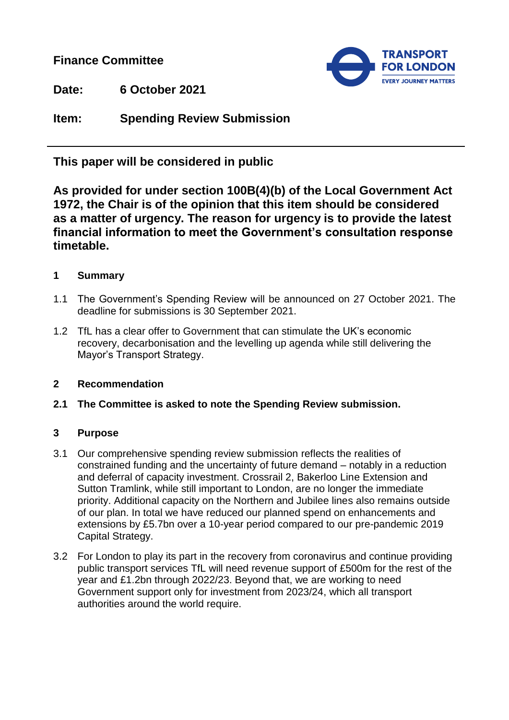**Finance Committee** 



**Date: 6 October 2021**

**Item: Spending Review Submission**

**This paper will be considered in public**

**As provided for under section 100B(4)(b) of the Local Government Act 1972, the Chair is of the opinion that this item should be considered as a matter of urgency. The reason for urgency is to provide the latest financial information to meet the Government's consultation response timetable.**

# **1 Summary**

- 1.1 The Government's Spending Review will be announced on 27 October 2021. The deadline for submissions is 30 September 2021.
- 1.2 TfL has a clear offer to Government that can stimulate the UK's economic recovery, decarbonisation and the levelling up agenda while still delivering the Mayor's Transport Strategy.

### **2 Recommendation**

**2.1 The Committee is asked to note the Spending Review submission.**

### **3 Purpose**

- 3.1 Our comprehensive spending review submission reflects the realities of constrained funding and the uncertainty of future demand – notably in a reduction and deferral of capacity investment. Crossrail 2, Bakerloo Line Extension and Sutton Tramlink, while still important to London, are no longer the immediate priority. Additional capacity on the Northern and Jubilee lines also remains outside of our plan. In total we have reduced our planned spend on enhancements and extensions by £5.7bn over a 10-year period compared to our pre-pandemic 2019 Capital Strategy.
- 3.2 For London to play its part in the recovery from coronavirus and continue providing public transport services TfL will need revenue support of £500m for the rest of the year and £1.2bn through 2022/23. Beyond that, we are working to need Government support only for investment from 2023/24, which all transport authorities around the world require.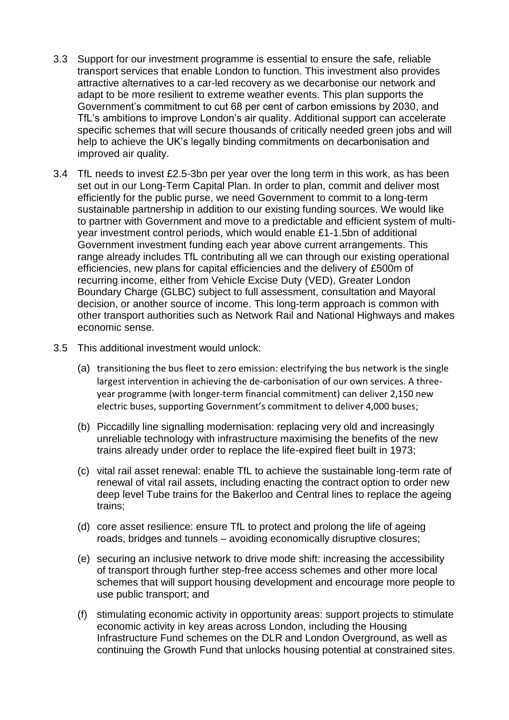- 3.3 Support for our investment programme is essential to ensure the safe, reliable transport services that enable London to function. This investment also provides attractive alternatives to a car-led recovery as we decarbonise our network and adapt to be more resilient to extreme weather events. This plan supports the Government's commitment to cut 68 per cent of carbon emissions by 2030, and TfL's ambitions to improve London's air quality. Additional support can accelerate specific schemes that will secure thousands of critically needed green jobs and will help to achieve the UK's legally binding commitments on decarbonisation and improved air quality.
- 3.4 TfL needs to invest £2.5-3bn per year over the long term in this work, as has been set out in our Long-Term Capital Plan. In order to plan, commit and deliver most efficiently for the public purse, we need Government to commit to a long-term sustainable partnership in addition to our existing funding sources. We would like to partner with Government and move to a predictable and efficient system of multiyear investment control periods, which would enable £1-1.5bn of additional Government investment funding each year above current arrangements. This range already includes TfL contributing all we can through our existing operational efficiencies, new plans for capital efficiencies and the delivery of £500m of recurring income, either from Vehicle Excise Duty (VED), Greater London Boundary Charge (GLBC) subject to full assessment, consultation and Mayoral decision, or another source of income. This long-term approach is common with other transport authorities such as Network Rail and National Highways and makes economic sense.
- 3.5 This additional investment would unlock:
	- (a) transitioning the bus fleet to zero emission: electrifying the bus network is the single largest intervention in achieving the de-carbonisation of our own services. A threeyear programme (with longer-term financial commitment) can deliver 2,150 new electric buses, supporting Government's commitment to deliver 4,000 buses;
	- (b) Piccadilly line signalling modernisation: replacing very old and increasingly unreliable technology with infrastructure maximising the benefits of the new trains already under order to replace the life-expired fleet built in 1973;
	- (c) vital rail asset renewal: enable TfL to achieve the sustainable long-term rate of renewal of vital rail assets, including enacting the contract option to order new deep level Tube trains for the Bakerloo and Central lines to replace the ageing trains;
	- (d) core asset resilience: ensure TfL to protect and prolong the life of ageing roads, bridges and tunnels – avoiding economically disruptive closures;
	- (e) securing an inclusive network to drive mode shift: increasing the accessibility of transport through further step-free access schemes and other more local schemes that will support housing development and encourage more people to use public transport; and
	- (f) stimulating economic activity in opportunity areas: support projects to stimulate economic activity in key areas across London, including the Housing Infrastructure Fund schemes on the DLR and London Overground, as well as continuing the Growth Fund that unlocks housing potential at constrained sites.